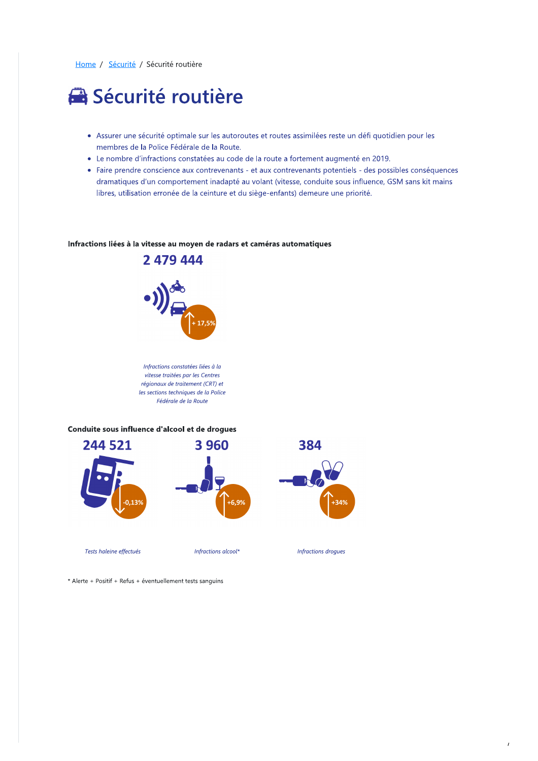Home / Sécurité / Sécurité routière

# Sécurité routière

- · Assurer une sécurité optimale sur les autoroutes et routes assimilées reste un défi quotidien pour les membres de la Police Fédérale de la Route.
- Le nombre d'infractions constatées au code de la route a fortement augmenté en 2019.
- Faire prendre conscience aux contrevenants et aux contrevenants potentiels des possibles conséquences dramatiques d'un comportement inadapté au volant (vitesse, conduite sous influence, GSM sans kit mains libres, utilisation erronée de la ceinture et du siège-enfants) demeure une priorité.

#### Infractions liées à la vitesse au moyen de radars et caméras automatiques



Infractions constatées liées à la vitesse traitées par les Centres régionaux de traitement (CRT) et les sections techniques de la Police Fédérale de la Route

Conduite sous influence d'alcool et de drogues



\* Alerte + Positif + Refus + éventuellement tests sanguins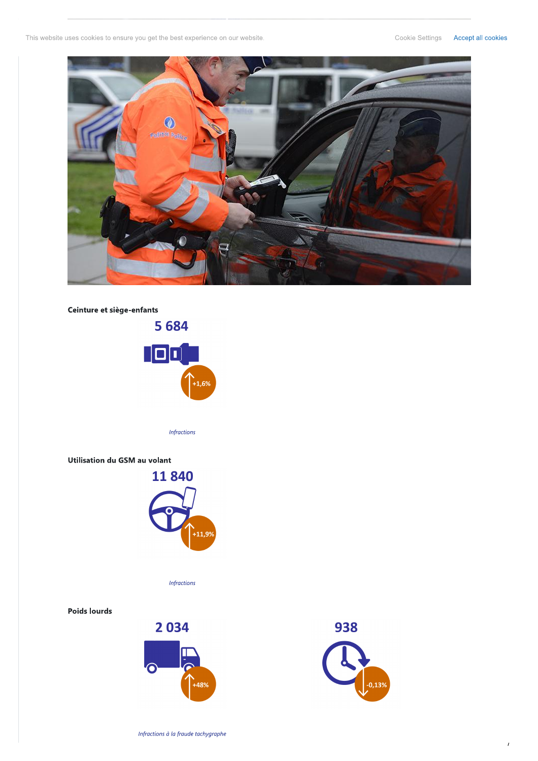This website uses cookies to ensure you get the best experience on our website.



### Ceinture et siège-enfants



**Infractions** 

#### Utilisation du GSM au volant



**Infractions** 

#### **Poids lourds**





 $\overline{I}$ 

Infractions à la fraude tachygraphe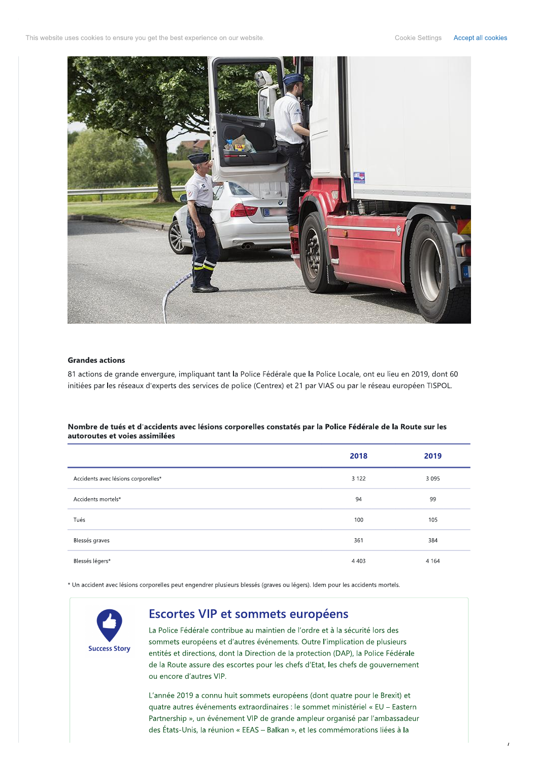This website uses cookies to ensure you get the best experience on our website.



#### **Grandes actions**

81 actions de grande envergure, impliquant tant la Police Fédérale que la Police Locale, ont eu lieu en 2019, dont 60 initiées par les réseaux d'experts des services de police (Centrex) et 21 par VIAS ou par le réseau européen TISPOL.

#### Nombre de tués et d'accidents avec lésions corporelles constatés par la Police Fédérale de la Route sur les autoroutes et voies assimilées

|                                     | 2018    | 2019    |
|-------------------------------------|---------|---------|
| Accidents avec lésions corporelles* | 3 1 2 2 | 3 0 9 5 |
| Accidents mortels*                  | 94      | 99      |
| Tués                                | 100     | 105     |
| Blessés graves                      | 361     | 384     |
| Blessés légers*                     | 4 4 0 3 | 4 1 6 4 |

\* Un accident avec lésions corporelles peut engendrer plusieurs blessés (graves ou légers). Idem pour les accidents mortels.



# Escortes VIP et sommets européens

La Police Fédérale contribue au maintien de l'ordre et à la sécurité lors des sommets européens et d'autres événements. Outre l'implication de plusieurs entités et directions, dont la Direction de la protection (DAP), la Police Fédérale de la Route assure des escortes pour les chefs d'Etat, les chefs de gouvernement ou encore d'autres VIP.

L'année 2019 a connu huit sommets européens (dont quatre pour le Brexit) et quatre autres événements extraordinaires : le sommet ministériel « EU - Eastern Partnership », un événement VIP de grande ampleur organisé par l'ambassadeur des États-Unis, la réunion « EEAS - Balkan », et les commémorations liées à la